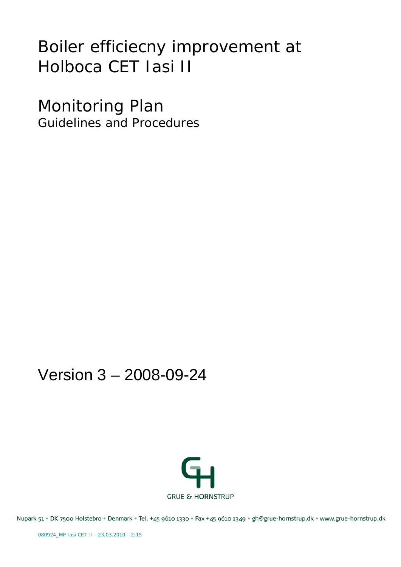# Boiler efficiecny improvement at Holboca CET Iasi II

Monitoring Plan Guidelines and Procedures

# Version 3 – 2008-09-24



Nupark 51 · DK 7500 Holstebro · Denmark · Tel. +45 9610 1330 · Fax +45 9610 1349 · gh@grue-hornstrup.dk · www.grue-hornstrup.dk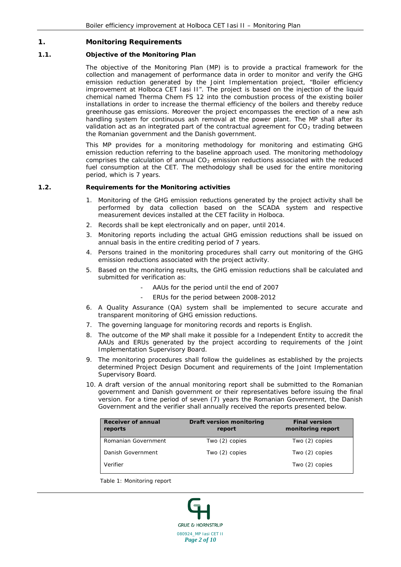# **1. Monitoring Requirements**

# **1.1. Objective of the Monitoring Plan**

The objective of the Monitoring Plan (MP) is to provide a practical framework for the collection and management of performance data in order to monitor and verify the GHG emission reduction generated by the Joint Implementation project, "Boiler efficiency improvement at Holboca CET Iasi II". The project is based on the injection of the liquid chemical named Therma Chem FS 12 into the combustion process of the existing boiler installations in order to increase the thermal efficiency of the boilers and thereby reduce greenhouse gas emissions. Moreover the project encompasses the erection of a new ash handling system for continuous ash removal at the power plant. The MP shall after its validation act as an integrated part of the contractual agreement for  $CO_2$  trading between the Romanian government and the Danish government.

This MP provides for a monitoring methodology for monitoring and estimating GHG emission reduction referring to the baseline approach used. The monitoring methodology comprises the calculation of annual CO<sub>2</sub> emission reductions associated with the reduced fuel consumption at the CET. The methodology shall be used for the entire monitoring period, which is 7 years.

#### **1.2. Requirements for the Monitoring activities**

- 1. Monitoring of the GHG emission reductions generated by the project activity shall be performed by data collection based on the SCADA system and respective measurement devices installed at the CET facility in Holboca.
- 2. Records shall be kept electronically and on paper, until 2014.
- 3. Monitoring reports including the actual GHG emission reductions shall be issued on annual basis in the entire crediting period of 7 years.
- 4. Persons trained in the monitoring procedures shall carry out monitoring of the GHG emission reductions associated with the project activity.
- 5. Based on the monitoring results, the GHG emission reductions shall be calculated and submitted for verification as:
	- AAUs for the period until the end of 2007
	- ERUs for the period between 2008-2012
- 6. A Quality Assurance (QA) system shall be implemented to secure accurate and transparent monitoring of GHG emission reductions.
- 7. The governing language for monitoring records and reports is English.
- 8. The outcome of the MP shall make it possible for a Independent Entity to accredit the AAUs and ERUs generated by the project according to requirements of the Joint Implementation Supervisory Board.
- 9. The monitoring procedures shall follow the guidelines as established by the projects determined Project Design Document and requirements of the Joint Implementation Supervisory Board.
- 10. A draft version of the annual monitoring report shall be submitted to the Romanian government and Danish government or their representatives before issuing the final version. For a time period of seven (7) years the Romanian Government, the Danish Government and the verifier shall annually received the reports presented below.

| <b>Receiver of annual</b><br>reports | Draft version monitoring<br>report | <b>Final version</b><br>monitoring report |
|--------------------------------------|------------------------------------|-------------------------------------------|
| Romanian Government                  | Two $(2)$ copies                   | Two (2) copies                            |
| Danish Government                    | Two $(2)$ copies                   | Two (2) copies                            |
| Verifier                             |                                    | Two (2) copies                            |

<span id="page-1-0"></span>*Table 1: Monitoring report*

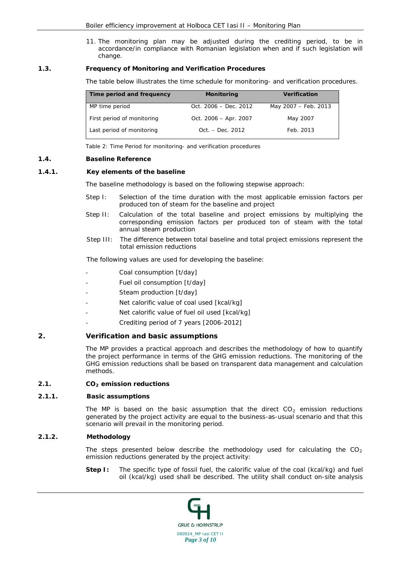11. The monitoring plan may be adjusted during the crediting period, to be in accordance/in compliance with Romanian legislation when and if such legislation will change.

# **1.3. Frequency of Monitoring and Verification Procedures**

The table below illustrates the time schedule for monitoring- and verification procedures.

| Time period and frequency  | <b>Monitoring</b>       | <b>Verification</b>  |
|----------------------------|-------------------------|----------------------|
| MP time period             | Oct. $2006 - Dec. 2012$ | May 2007 - Feb. 2013 |
| First period of monitoring | Oct. 2006 - Apr. 2007   | May 2007             |
| Last period of monitoring  | Oct. – Dec. 2012        | Feb. 2013            |

*Table 2: Time Period for monitoring- and verification procedures*

#### **1.4. Baseline Reference**

#### **1.4.1. Key elements of the baseline**

The baseline methodology is based on the following stepwise approach:

- Step I: Selection of the time duration with the most applicable emission factors per produced ton of steam for the baseline and project
- Step II: Calculation of the total baseline and project emissions by multiplying the corresponding emission factors per produced ton of steam with the total annual steam production
- Step III: The difference between total baseline and total project emissions represent the total emission reductions

The following values are used for developing the baseline:

- Coal consumption [t/day]
- Fuel oil consumption [t/day]
- Steam production [t/day]
- Net calorific value of coal used [kcal/kg]
- Net calorific value of fuel oil used [kcal/kg]
- Crediting period of 7 years [2006-2012]

# **2. Verification and basic assumptions**

The MP provides a practical approach and describes the methodology of how to quantify the project performance in terms of the GHG emission reductions. The monitoring of the GHG emission reductions shall be based on transparent data management and calculation methods.

# **2.1. CO**<sub>2</sub> emission reductions

#### **2.1.1. Basic assumptions**

The MP is based on the basic assumption that the direct CO<sub>2</sub> emission reductions generated by the project activity are equal to the business-as-usual scenario and that this scenario will prevail in the monitoring period.

# **2.1.2. Methodology**

The steps presented below describe the methodology used for calculating the  $CO<sub>2</sub>$ emission reductions generated by the project activity:

**Step I:** The specific type of fossil fuel, the calorific value of the coal (kcal/kg) and fuel oil (kcal/kg) used shall be described. The utility shall conduct on-site analysis

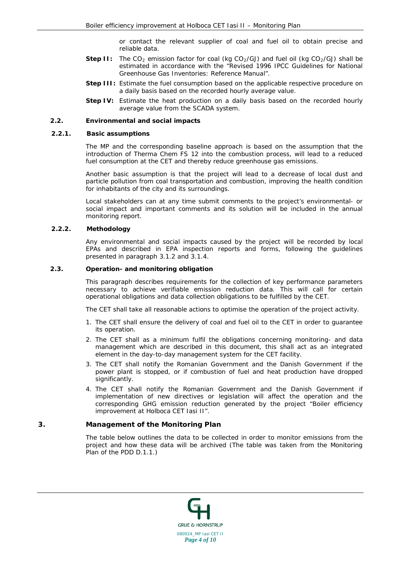or contact the relevant supplier of coal and fuel oil to obtain precise and reliable data.

- **Step II:** The  $CO_2$  emission factor for coal (kg  $CO_2/GJ$ ) and fuel oil (kg  $CO_2/GJ$ ) shall be estimated in accordance with the "Revised 1996 IPCC Guidelines for National Greenhouse Gas Inventories: Reference Manual".
- **Step III:** Estimate the fuel consumption based on the applicable respective procedure on a daily basis based on the recorded hourly average value.
- **Step IV:** Estimate the heat production on a daily basis based on the recorded hourly average value from the SCADA system.

#### **2.2. Environmental and social impacts**

#### **2.2.1. Basic assumptions**

The MP and the corresponding baseline approach is based on the assumption that the introduction of Therma Chem FS 12 into the combustion process, will lead to a reduced fuel consumption at the CET and thereby reduce greenhouse gas emissions.

Another basic assumption is that the project will lead to a decrease of local dust and particle pollution from coal transportation and combustion, improving the health condition for inhabitants of the city and its surroundings.

Local stakeholders can at any time submit comments to the project's environmental- or social impact and important comments and its solution will be included in the annual monitoring report.

#### **2.2.2. Methodology**

Any environmental and social impacts caused by the project will be recorded by local EPAs and described in EPA inspection reports and forms, following the guidelines presented in paragraph [3.1.2](#page-5-0) and [3.1.4.](#page-6-0)

# **2.3. Operation- and monitoring obligation**

This paragraph describes requirements for the collection of key performance parameters necessary to achieve verifiable emission reduction data. This will call for certain operational obligations and data collection obligations to be fulfilled by the CET.

The CET shall take all reasonable actions to optimise the operation of the project activity.

- 1. The CET shall ensure the delivery of coal and fuel oil to the CET in order to guarantee its operation.
- 2. The CET shall as a minimum fulfil the obligations concerning monitoring- and data management which are described in this document, this shall act as an integrated element in the day-to-day management system for the CET facility.
- 3. The CET shall notify the Romanian Government and the Danish Government if the power plant is stopped, or if combustion of fuel and heat production have dropped significantly.
- 4. The CET shall notify the Romanian Government and the Danish Government if implementation of new directives or legislation will affect the operation and the corresponding GHG emission reduction generated by the project "Boiler efficiency improvement at Holboca CET Iasi II".

# **3. Management of the Monitoring Plan**

The table below outlines the data to be collected in order to monitor emissions from the project and how these data will be archived (The table was taken from the Monitoring Plan of the PDD D.1.1.)

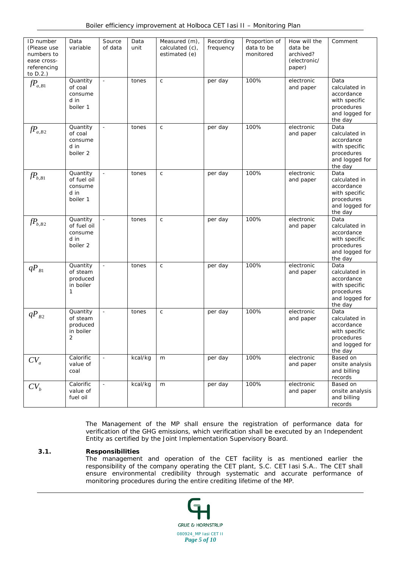| ID number<br>(Please use<br>numbers to<br>ease cross-<br>referencing<br>to $D.2.$ ) | Data<br>variable                                       | Source<br>of data | Data<br>unit | Measured (m),<br>calculated (c),<br>estimated (e) | Recording<br>frequency | Proportion of<br>data to be<br>monitored | How will the<br>data be<br>archived?<br>(electronic/<br>paper) | Comment                                                                                         |
|-------------------------------------------------------------------------------------|--------------------------------------------------------|-------------------|--------------|---------------------------------------------------|------------------------|------------------------------------------|----------------------------------------------------------------|-------------------------------------------------------------------------------------------------|
| $fP_{a,B1}$                                                                         | Quantity<br>of coal<br>consume<br>d in<br>boiler 1     | $\omega$          | tones        | $\mathsf{C}$                                      | per day                | 100%                                     | electronic<br>and paper                                        | Data<br>calculated in<br>accordance<br>with specific<br>procedures<br>and logged for<br>the day |
| $fP_{a,B2}$                                                                         | Quantity<br>of coal<br>consume<br>d in<br>boiler 2     | $\equiv$          | tones        | $\mathsf{C}$                                      | per day                | 100%                                     | electronic<br>and paper                                        | Data<br>calculated in<br>accordance<br>with specific<br>procedures<br>and logged for<br>the day |
| $fP_{b, B1}$                                                                        | Quantity<br>of fuel oil<br>consume<br>d in<br>boiler 1 |                   | tones        | $\mathsf C$                                       | per day                | 100%                                     | electronic<br>and paper                                        | Data<br>calculated in<br>accordance<br>with specific<br>procedures<br>and logged for<br>the day |
| $fP_{b,B2}$                                                                         | Quantity<br>of fuel oil<br>consume<br>d in<br>boiler 2 | $\blacksquare$    | tones        | $\mathsf C$                                       | per day                | 100%                                     | electronic<br>and paper                                        | Data<br>calculated in<br>accordance<br>with specific<br>procedures<br>and logged for<br>the day |
| $qP_{B1}$                                                                           | Quantity<br>of steam<br>produced<br>in boiler<br>1     | $\mathcal{L}$     | tones        | $\mathsf{C}$                                      | per day                | 100%                                     | electronic<br>and paper                                        | Data<br>calculated in<br>accordance<br>with specific<br>procedures<br>and logged for<br>the day |
| $qP_{B2}$                                                                           | Quantity<br>of steam<br>produced<br>in boiler<br>2     | $\blacksquare$    | tones        | $\mathsf{C}$                                      | per day                | 100%                                     | electronic<br>and paper                                        | Data<br>calculated in<br>accordance<br>with specific<br>procedures<br>and logged for<br>the day |
| $CV_a$                                                                              | Calorific<br>value of<br>coal                          | $\equiv$          | kcal/kg      | m                                                 | per day                | 100%                                     | electronic<br>and paper                                        | Based on<br>onsite analysis<br>and billing<br>records                                           |
| $CV_{h}$                                                                            | Calorific<br>value of<br>fuel oil                      | $\blacksquare$    | kcal/kg      | m                                                 | per day                | 100%                                     | electronic<br>and paper                                        | Based on<br>onsite analysis<br>and billing<br>records                                           |

The Management of the MP shall ensure the registration of performance data for verification of the GHG emissions, which verification shall be executed by an Independent Entity as certified by the Joint Implementation Supervisory Board.

# **3.1. Responsibilities**

The management and operation of the CET facility is as mentioned earlier the responsibility of the company operating the CET plant, S.C. CET Iasi S.A.. The CET shall ensure environmental credibility through systematic and accurate performance of monitoring procedures during the entire crediting lifetime of the MP.

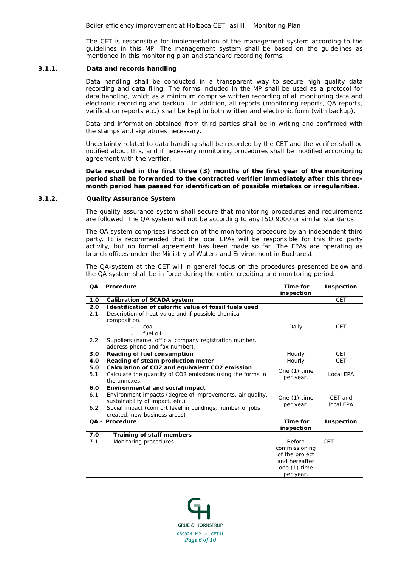The CET is responsible for implementation of the management system according to the guidelines in this MP. The management system shall be based on the guidelines as mentioned in this monitoring plan and standard recording forms.

#### **3.1.1. Data and records handling**

Data handling shall be conducted in a transparent way to secure high quality data recording and data filing. The forms included in the MP shall be used as a protocol for data handling, which as a minimum comprise written recording of all monitoring data and electronic recording and backup. In addition, all reports (monitoring reports, QA reports, verification reports etc.) shall be kept in both written and electronic form (with backup).

Data and information obtained from third parties shall be in writing and confirmed with the stamps and signatures necessary.

Uncertainty related to data handling shall be recorded by the CET and the verifier shall be notified about this, and if necessary monitoring procedures shall be modified according to agreement with the verifier.

**Data recorded in the first three (3) months of the first year of the monitoring period shall be forwarded to the contracted verifier immediately after this threemonth period has passed for identification of possible mistakes or irregularities.**

#### <span id="page-5-0"></span>**3.1.2. Quality Assurance System**

The quality assurance system shall secure that monitoring procedures and requirements are followed. The QA system will not be according to any ISO 9000 or similar standards.

The QA system comprises inspection of the monitoring procedure by an independent third party. It is recommended that the local EPAs will be responsible for this third party activity, but no formal agreement has been made so far. The EPAs are operating as branch offices under the Ministry of Waters and Environment in Bucharest.

The QA-system at the CET will in general focus on the procedures presented below and the QA system shall be in force during the entire crediting and monitoring period.

|                   | QA - Procedure                                                                                                                                                                                                               | Time for<br>inspection                                                                  | Inspection           |
|-------------------|------------------------------------------------------------------------------------------------------------------------------------------------------------------------------------------------------------------------------|-----------------------------------------------------------------------------------------|----------------------|
| 1.0               | <b>Calibration of SCADA system</b>                                                                                                                                                                                           |                                                                                         | CET                  |
| 2.0<br>2.1        | Identification of calorific value of fossil fuels used<br>Description of heat value and if possible chemical<br>composition.<br>coal<br>fuel oil                                                                             | Daily                                                                                   | <b>CET</b>           |
| 2.2               | Suppliers (name, official company registration number,<br>address phone and fax number).                                                                                                                                     |                                                                                         |                      |
| 3.0               | Reading of fuel consumption                                                                                                                                                                                                  | Hourly                                                                                  | <b>CET</b>           |
| 4.0               | Reading of steam production meter                                                                                                                                                                                            | Hourly                                                                                  | <b>CET</b>           |
| 5.0<br>5.1        | Calculation of CO2 and equivalent CO2 emission<br>Calculate the quantity of CO2 emissions using the forms in<br>the annexes.                                                                                                 | One (1) time<br>per year.                                                               | Local EPA            |
| 6.0<br>6.1<br>6.2 | Environmental and social impact<br>Environment impacts (degree of improvements, air quality,<br>sustainability of impact, etc.)<br>Social impact (comfort level in buildings, number of jobs<br>created, new business areas) | One (1) time<br>per year.                                                               | CET and<br>local EPA |
|                   | QA - Procedure                                                                                                                                                                                                               | Time for<br>inspection                                                                  | Inspection           |
| 7,0<br>7.1        | Training of staff members<br>Monitoring procedures                                                                                                                                                                           | Before<br>commissioning<br>of the project<br>and hereafter<br>one (1) time<br>per year. | <b>CET</b>           |

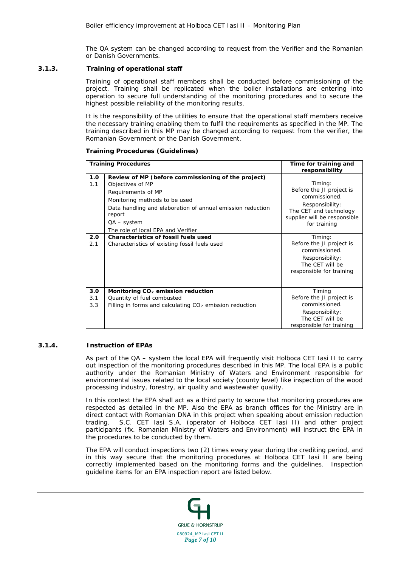The QA system can be changed according to request from the Verifier and the Romanian or Danish Governments.

# **3.1.3. Training of operational staff**

Training of operational staff members shall be conducted before commissioning of the project. Training shall be replicated when the boiler installations are entering into operation to secure full understanding of the monitoring procedures and to secure the highest possible reliability of the monitoring results.

It is the responsibility of the utilities to ensure that the operational staff members receive the necessary training enabling them to fulfil the requirements as specified in the MP. The training described in this MP may be changed according to request from the verifier, the Romanian Government or the Danish Government.

# **Training Procedures (Guidelines)**

|                   | <b>Training Procedures</b>                                                                                                                                                                                                                                   | Time for training and<br>responsibility                                                                                                           |
|-------------------|--------------------------------------------------------------------------------------------------------------------------------------------------------------------------------------------------------------------------------------------------------------|---------------------------------------------------------------------------------------------------------------------------------------------------|
| 1.0<br>1.1        | Review of MP (before commissioning of the project)<br>Objectives of MP<br>Requirements of MP<br>Monitoring methods to be used<br>Data handling and elaboration of annual emission reduction<br>report<br>$QA - system$<br>The role of local EPA and Verifier | Timing:<br>Before the JI project is<br>commissioned.<br>Responsibility:<br>The CET and technology<br>supplier will be responsible<br>for training |
| 2.0<br>2.1        | <b>Characteristics of fossil fuels used</b><br>Characteristics of existing fossil fuels used                                                                                                                                                                 | Timing:<br>Before the JI project is<br>commissioned.<br>Responsibility:<br>The CET will be<br>responsible for training                            |
| 3.0<br>3.1<br>3.3 | Monitoring CO <sub>2</sub> emission reduction<br>Quantity of fuel combusted<br>Filling in forms and calculating CO <sub>2</sub> emission reduction                                                                                                           | Timing<br>Before the JI project is<br>commissioned.<br>Responsibility:<br>The CET will be<br>responsible for training                             |

# <span id="page-6-0"></span>**3.1.4. Instruction of EPAs**

As part of the QA – system the local EPA will frequently visit Holboca CET Iasi II to carry out inspection of the monitoring procedures described in this MP. The local EPA is a public authority under the Romanian Ministry of Waters and Environment responsible for environmental issues related to the local society (county level) like inspection of the wood processing industry, forestry, air quality and wastewater quality.

In this context the EPA shall act as a third party to secure that monitoring procedures are respected as detailed in the MP. Also the EPA as branch offices for the Ministry are in direct contact with Romanian DNA in this project when speaking about emission reduction trading. S.C. CET Iasi S.A. (operator of Holboca CET Iasi II) and other project participants (fx. Romanian Ministry of Waters and Environment) will instruct the EPA in the procedures to be conducted by them.

The EPA will conduct inspections two (2) times every year during the crediting period, and in this way secure that the monitoring procedures at Holboca CET Iasi II are being correctly implemented based on the monitoring forms and the guidelines. Inspection guideline items for an EPA inspection report are listed below.

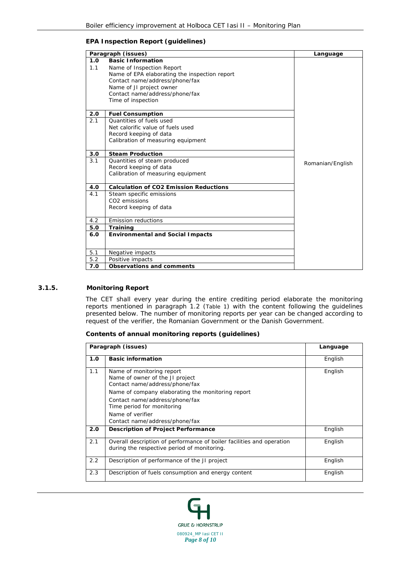# **EPA Inspection Report (guidelines)**

|     | Paragraph (issues)                            | Language         |
|-----|-----------------------------------------------|------------------|
| 1.0 | <b>Basic Information</b>                      |                  |
| 1.1 | Name of Inspection Report                     |                  |
|     | Name of EPA elaborating the inspection report |                  |
|     | Contact name/address/phone/fax                |                  |
|     | Name of JI project owner                      |                  |
|     | Contact name/address/phone/fax                |                  |
|     | Time of inspection                            |                  |
| 2.0 | <b>Fuel Consumption</b>                       |                  |
| 2.1 | Quantities of fuels used                      |                  |
|     | Net calorific value of fuels used             |                  |
|     | Record keeping of data                        |                  |
|     | Calibration of measuring equipment            |                  |
| 3.0 | <b>Steam Production</b>                       |                  |
| 3.1 | Quantities of steam produced                  | Romanian/English |
|     | Record keeping of data                        |                  |
|     | Calibration of measuring equipment            |                  |
| 4.0 | <b>Calculation of CO2 Emission Reductions</b> |                  |
| 4.1 | Steam specific emissions                      |                  |
|     | CO <sub>2</sub> emissions                     |                  |
|     | Record keeping of data                        |                  |
| 4.2 | <b>Emission reductions</b>                    |                  |
| 5.0 | <b>Training</b>                               |                  |
| 6.0 | <b>Environmental and Social Impacts</b>       |                  |
|     |                                               |                  |
| 5.1 | Negative impacts                              |                  |
| 5.2 | Positive impacts                              |                  |
| 7.0 | Observations and comments                     |                  |

# **3.1.5. Monitoring Report**

The CET shall every year during the entire crediting period elaborate the monitoring reports mentioned in paragraph 1.2 [\(Table 1\)](#page-1-0) with the content following the guidelines presented below. The number of monitoring reports per year can be changed according to request of the verifier, the Romanian Government or the Danish Government.

#### **Contents of annual monitoring reports (guidelines)**

|     | Paragraph (issues)                                                                                                                                                                                                                                                        |         |  |
|-----|---------------------------------------------------------------------------------------------------------------------------------------------------------------------------------------------------------------------------------------------------------------------------|---------|--|
| 1.0 | <b>Basic information</b>                                                                                                                                                                                                                                                  | English |  |
| 1.1 | Name of monitoring report<br>Name of owner of the JI project<br>Contact name/address/phone/fax<br>Name of company elaborating the monitoring report<br>Contact name/address/phone/fax<br>Time period for monitoring<br>Name of verifier<br>Contact name/address/phone/fax | English |  |
| 2.0 | <b>Description of Project Performance</b>                                                                                                                                                                                                                                 | English |  |
| 2.1 | Overall description of performance of boiler facilities and operation<br>during the respective period of monitoring.                                                                                                                                                      | English |  |
| 2.2 | Description of performance of the JI project                                                                                                                                                                                                                              | English |  |
| 2.3 | Description of fuels consumption and energy content                                                                                                                                                                                                                       | English |  |

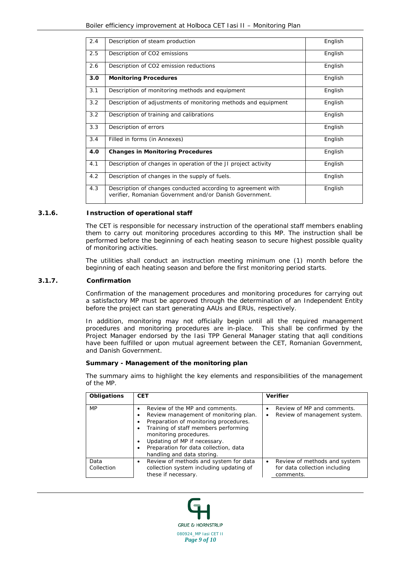| 2.4 | Description of steam production                                                                                         | English |
|-----|-------------------------------------------------------------------------------------------------------------------------|---------|
| 2.5 | Description of CO2 emissions                                                                                            | English |
| 2.6 | Description of CO2 emission reductions                                                                                  | English |
| 3.0 | <b>Monitoring Procedures</b>                                                                                            | English |
| 3.1 | Description of monitoring methods and equipment                                                                         | English |
| 3.2 | Description of adjustments of monitoring methods and equipment                                                          | English |
| 3.2 | Description of training and calibrations                                                                                | English |
| 3.3 | Description of errors                                                                                                   | English |
| 3.4 | Filled in forms (in Annexes)                                                                                            | English |
| 4.0 | <b>Changes in Monitoring Procedures</b>                                                                                 | English |
| 4.1 | Description of changes in operation of the JI project activity                                                          | English |
| 4.2 | Description of changes in the supply of fuels.                                                                          | English |
| 4.3 | Description of changes conducted according to agreement with<br>verifier, Romanian Government and/or Danish Government. | English |

#### **3.1.6. Instruction of operational staff**

The CET is responsible for necessary instruction of the operational staff members enabling them to carry out monitoring procedures according to this MP. The instruction shall be performed before the beginning of each heating season to secure highest possible quality of monitoring activities.

The utilities shall conduct an instruction meeting minimum one (1) month before the beginning of each heating season and before the first monitoring period starts.

#### **3.1.7. Confirmation**

Confirmation of the management procedures and monitoring procedures for carrying out a satisfactory MP must be approved through the determination of an Independent Entity before the project can start generating AAUs and ERUs, respectively.

In addition, monitoring may not officially begin until all the required management procedures and monitoring procedures are in-place. This shall be confirmed by the Project Manager endorsed by the Iasi TPP General Manager stating that aqll conditions have been fulfilled or upon mutual agreement between the CET, Romanian Government, and Danish Government.

#### **Summary - Management of the monitoring plan**

The summary aims to highlight the key elements and responsibilities of the management of the MP.

| Obligations        | <b>CET</b>                                                                                                                                                                                                                                                                                                                      | <b>Verifier</b>                                                                         |
|--------------------|---------------------------------------------------------------------------------------------------------------------------------------------------------------------------------------------------------------------------------------------------------------------------------------------------------------------------------|-----------------------------------------------------------------------------------------|
| <b>MP</b>          | Review of the MP and comments.<br>$\bullet$<br>Review management of monitoring plan.<br>٠<br>Preparation of monitoring procedures.<br>٠<br>Training of staff members performing<br>٠<br>monitoring procedures.<br>Updating of MP if necessary.<br>٠<br>Preparation for data collection, data<br>٠<br>handling and data storing. | Review of MP and comments.<br>Review of management system.<br>٠                         |
| Data<br>Collection | Review of methods and system for data<br>٠<br>collection system including updating of<br>these if necessary.                                                                                                                                                                                                                    | Review of methods and system<br>$\bullet$<br>for data collection including<br>comments. |